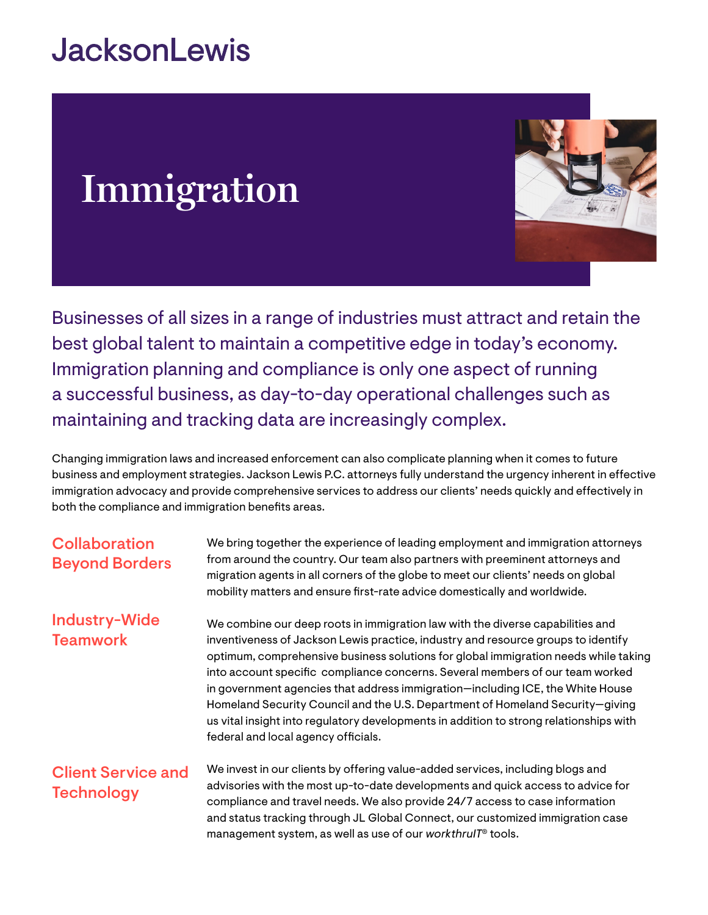# **JacksonLewis**

# **Immigration**



Businesses of all sizes in a range of industries must attract and retain the best global talent to maintain a competitive edge in today's economy. Immigration planning and compliance is only one aspect of running a successful business, as day-to-day operational challenges such as maintaining and tracking data are increasingly complex.

Changing immigration laws and increased enforcement can also complicate planning when it comes to future business and employment strategies. Jackson Lewis P.C. attorneys fully understand the urgency inherent in effective immigration advocacy and provide comprehensive services to address our clients' needs quickly and effectively in both the compliance and immigration benefits areas.

| <b>Collaboration</b><br><b>Beyond Borders</b>  | We bring together the experience of leading employment and immigration attorneys<br>from around the country. Our team also partners with preeminent attorneys and<br>migration agents in all corners of the globe to meet our clients' needs on global<br>mobility matters and ensure first-rate advice domestically and worldwide.                                                                                                                                                                                                                                                                                                             |
|------------------------------------------------|-------------------------------------------------------------------------------------------------------------------------------------------------------------------------------------------------------------------------------------------------------------------------------------------------------------------------------------------------------------------------------------------------------------------------------------------------------------------------------------------------------------------------------------------------------------------------------------------------------------------------------------------------|
| <b>Industry-Wide</b><br><b>Teamwork</b>        | We combine our deep roots in immigration law with the diverse capabilities and<br>inventiveness of Jackson Lewis practice, industry and resource groups to identify<br>optimum, comprehensive business solutions for global immigration needs while taking<br>into account specific compliance concerns. Several members of our team worked<br>in government agencies that address immigration—including ICE, the White House<br>Homeland Security Council and the U.S. Department of Homeland Security-giving<br>us vital insight into regulatory developments in addition to strong relationships with<br>federal and local agency officials. |
| <b>Client Service and</b><br><b>Technology</b> | We invest in our clients by offering value-added services, including blogs and<br>advisories with the most up-to-date developments and quick access to advice for<br>compliance and travel needs. We also provide 24/7 access to case information<br>and status tracking through JL Global Connect, our customized immigration case<br>management system, as well as use of our workthrulT <sup>®</sup> tools.                                                                                                                                                                                                                                  |